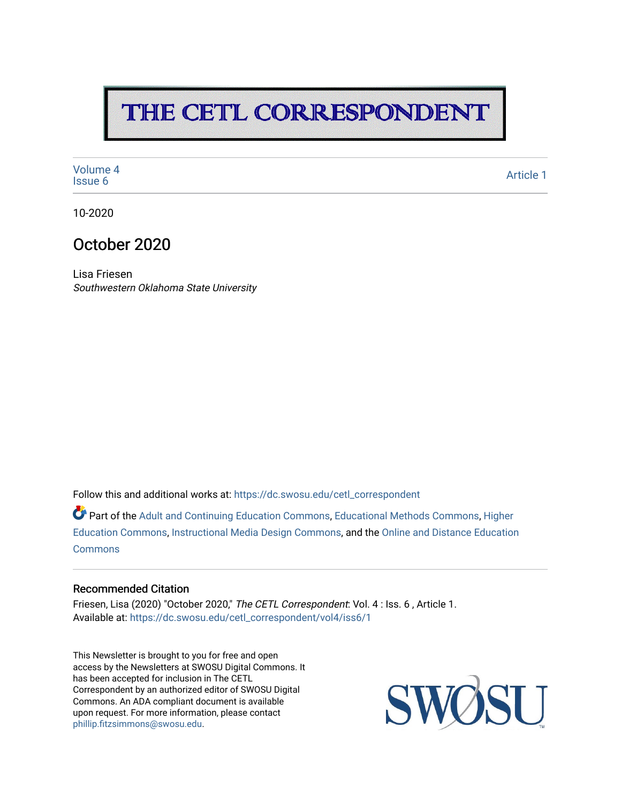# THE CETL CORRESPONDENT

[Volume 4](https://dc.swosu.edu/cetl_correspondent/vol4)<br>Issue 6 volume 4<br>[Issue 6](https://dc.swosu.edu/cetl_correspondent/vol4/iss6) Article 1

10-2020

### October 2020

Lisa Friesen Southwestern Oklahoma State University

Follow this and additional works at: [https://dc.swosu.edu/cetl\\_correspondent](https://dc.swosu.edu/cetl_correspondent?utm_source=dc.swosu.edu%2Fcetl_correspondent%2Fvol4%2Fiss6%2F1&utm_medium=PDF&utm_campaign=PDFCoverPages)

Part of the [Adult and Continuing Education Commons,](http://network.bepress.com/hgg/discipline/1375?utm_source=dc.swosu.edu%2Fcetl_correspondent%2Fvol4%2Fiss6%2F1&utm_medium=PDF&utm_campaign=PDFCoverPages) [Educational Methods Commons,](http://network.bepress.com/hgg/discipline/1227?utm_source=dc.swosu.edu%2Fcetl_correspondent%2Fvol4%2Fiss6%2F1&utm_medium=PDF&utm_campaign=PDFCoverPages) [Higher](http://network.bepress.com/hgg/discipline/1245?utm_source=dc.swosu.edu%2Fcetl_correspondent%2Fvol4%2Fiss6%2F1&utm_medium=PDF&utm_campaign=PDFCoverPages) [Education Commons,](http://network.bepress.com/hgg/discipline/1245?utm_source=dc.swosu.edu%2Fcetl_correspondent%2Fvol4%2Fiss6%2F1&utm_medium=PDF&utm_campaign=PDFCoverPages) [Instructional Media Design Commons,](http://network.bepress.com/hgg/discipline/795?utm_source=dc.swosu.edu%2Fcetl_correspondent%2Fvol4%2Fiss6%2F1&utm_medium=PDF&utm_campaign=PDFCoverPages) and the [Online and Distance Education](http://network.bepress.com/hgg/discipline/1296?utm_source=dc.swosu.edu%2Fcetl_correspondent%2Fvol4%2Fiss6%2F1&utm_medium=PDF&utm_campaign=PDFCoverPages)  **[Commons](http://network.bepress.com/hgg/discipline/1296?utm_source=dc.swosu.edu%2Fcetl_correspondent%2Fvol4%2Fiss6%2F1&utm_medium=PDF&utm_campaign=PDFCoverPages)** 

#### Recommended Citation

Friesen, Lisa (2020) "October 2020," The CETL Correspondent: Vol. 4 : Iss. 6 , Article 1. Available at: [https://dc.swosu.edu/cetl\\_correspondent/vol4/iss6/1](https://dc.swosu.edu/cetl_correspondent/vol4/iss6/1?utm_source=dc.swosu.edu%2Fcetl_correspondent%2Fvol4%2Fiss6%2F1&utm_medium=PDF&utm_campaign=PDFCoverPages) 

This Newsletter is brought to you for free and open access by the Newsletters at SWOSU Digital Commons. It has been accepted for inclusion in The CETL Correspondent by an authorized editor of SWOSU Digital Commons. An ADA compliant document is available upon request. For more information, please contact [phillip.fitzsimmons@swosu.edu](mailto:phillip.fitzsimmons@swosu.edu).

SWO **STT**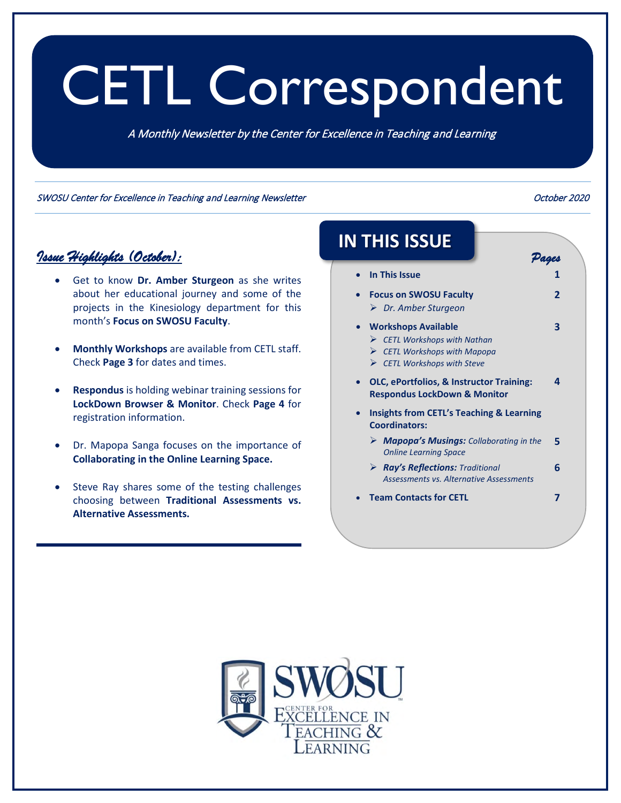# <span id="page-1-0"></span>CETL Correspondent

A Monthly Newsletter by the Center for Excellence in Teaching and Learning

SWOSU Center for Excellence in Teaching and Learning Newsletter **Canadian Communist Communist Communist Communist** 

#### *Issue Highlights (October):*

- Get to know **Dr. Amber Sturgeon** as she writes about her educational journey and some of the projects in the Kinesiology department for this month's **Focus on SWOSU Faculty**.
- **Monthly Workshops** are available from CETL staff. Check **Page 3** for dates and times.
- **Respondus** is holding webinar training sessions for **LockDown Browser & Monitor**. Check **Page 4** for registration information.
- Dr. Mapopa Sanga focuses on the importance of **Collaborating in the Online Learning Space.**
- Steve Ray shares some of the testing challenges choosing between **Traditional Assessments vs. Alternative Assessments.**

# **IN THIS ISSUE**

- **[In This Issue](#page-1-0) 1**
- **[Focus on SWOSU Faculty](#page-2-0)** *Dr. Amber Sturgeon*
- **Workshops Available**
	- *CETL Workshops with Nathan*
	- *[CETL Workshops with Mapopa](#page-3-0)*
	- *CETL Workshops with Steve*
- **[OLC, ePortfolios, & Instructor Training:](#page-4-0)  Respondus LockDown & Monitor 4**
- **[Insights from CETL's Teaching & Learning](#page-5-0)  Coordinators:**
	- *[Mapopa's Musings:](#page-5-0) Collaborating in the Online Learning Space* **5**
	- *Ray's Reflections: Traditional [Assessments vs. Alternative Assessments](#page-6-0)* **6**
- **[Team Contacts for CETL](#page-7-0) 7**



*Pages* 

**2** 

**3**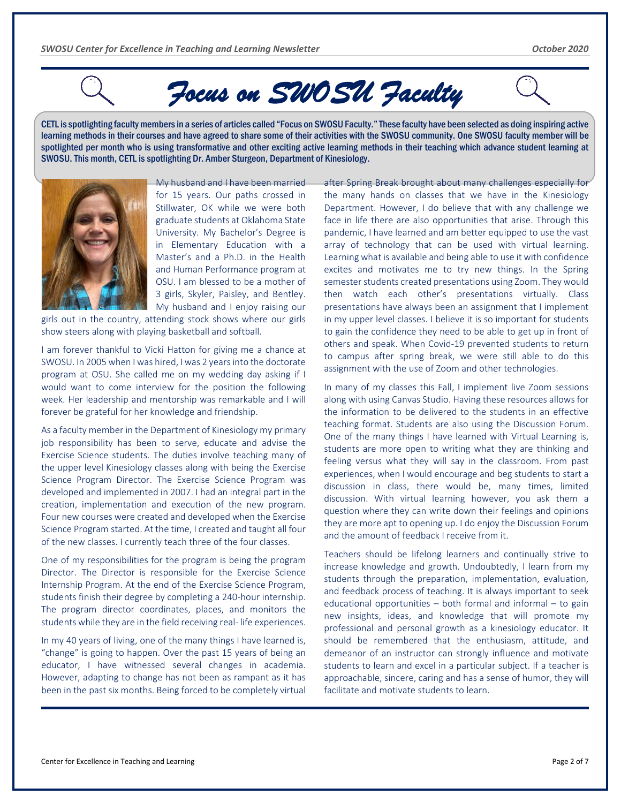# *Focus on SWOSU Faculty*

<span id="page-2-0"></span>CETL isspotlighting facultymembersin a series of articles called "Focus on SWOSU Faculty." These faculty have been selected as doing inspiring active learning methods in their courses and have agreed to share some of their activities with the SWOSU community. One SWOSU faculty member will be spotlighted per month who is using transformative and other exciting active learning methods in their teaching which advance student learning at SWOSU. This month, CETL is spotlighting Dr. Amber Sturgeon, Department of Kinesiology.



My husband and I have been married for 15 years. Our paths crossed in Stillwater, OK while we were both graduate students at Oklahoma State University. My Bachelor's Degree is in Elementary Education with a Master's and a Ph.D. in the Health and Human Performance program at OSU. I am blessed to be a mother of 3 girls, Skyler, Paisley, and Bentley. My husband and I enjoy raising our

girls out in the country, attending stock shows where our girls show steers along with playing basketball and softball.

I am forever thankful to Vicki Hatton for giving me a chance at SWOSU. In 2005 when I was hired, I was 2 years into the doctorate program at OSU. She called me on my wedding day asking if I would want to come interview for the position the following week. Her leadership and mentorship was remarkable and I will forever be grateful for her knowledge and friendship.

As a faculty member in the Department of Kinesiology my primary job responsibility has been to serve, educate and advise the Exercise Science students. The duties involve teaching many of the upper level Kinesiology classes along with being the Exercise Science Program Director. The Exercise Science Program was developed and implemented in 2007. I had an integral part in the creation, implementation and execution of the new program. Four new courses were created and developed when the Exercise Science Program started. At the time, I created and taught all four of the new classes. I currently teach three of the four classes.

One of my responsibilities for the program is being the program Director. The Director is responsible for the Exercise Science Internship Program. At the end of the Exercise Science Program, students finish their degree by completing a 240-hour internship. The program director coordinates, places, and monitors the students while they are in the field receiving real- life experiences.

In my 40 years of living, one of the many things I have learned is, "change" is going to happen. Over the past 15 years of being an educator, I have witnessed several changes in academia. However, adapting to change has not been as rampant as it has been in the past six months. Being forced to be completely virtual

after Spring Break brought about many challenges especially for the many hands on classes that we have in the Kinesiology Department. However, I do believe that with any challenge we face in life there are also opportunities that arise. Through this pandemic, I have learned and am better equipped to use the vast array of technology that can be used with virtual learning. Learning what is available and being able to use it with confidence excites and motivates me to try new things. In the Spring semester students created presentations using Zoom. They would then watch each other's presentations virtually. Class presentations have always been an assignment that I implement in my upper level classes. I believe it is so important for students to gain the confidence they need to be able to get up in front of others and speak. When Covid-19 prevented students to return to campus after spring break, we were still able to do this assignment with the use of Zoom and other technologies.

In many of my classes this Fall, I implement live Zoom sessions along with using Canvas Studio. Having these resources allows for the information to be delivered to the students in an effective teaching format. Students are also using the Discussion Forum. One of the many things I have learned with Virtual Learning is, students are more open to writing what they are thinking and feeling versus what they will say in the classroom. From past experiences, when I would encourage and beg students to start a discussion in class, there would be, many times, limited discussion. With virtual learning however, you ask them a question where they can write down their feelings and opinions they are more apt to opening up. I do enjoy the Discussion Forum and the amount of feedback I receive from it.

Teachers should be lifelong learners and continually strive to increase knowledge and growth. Undoubtedly, I learn from my students through the preparation, implementation, evaluation, and feedback process of teaching. It is always important to seek educational opportunities – both formal and informal – to gain new insights, ideas, and knowledge that will promote my professional and personal growth as a kinesiology educator. It should be remembered that the enthusiasm, attitude, and demeanor of an instructor can strongly influence and motivate students to learn and excel in a particular subject. If a teacher is approachable, sincere, caring and has a sense of humor, they will facilitate and motivate students to learn.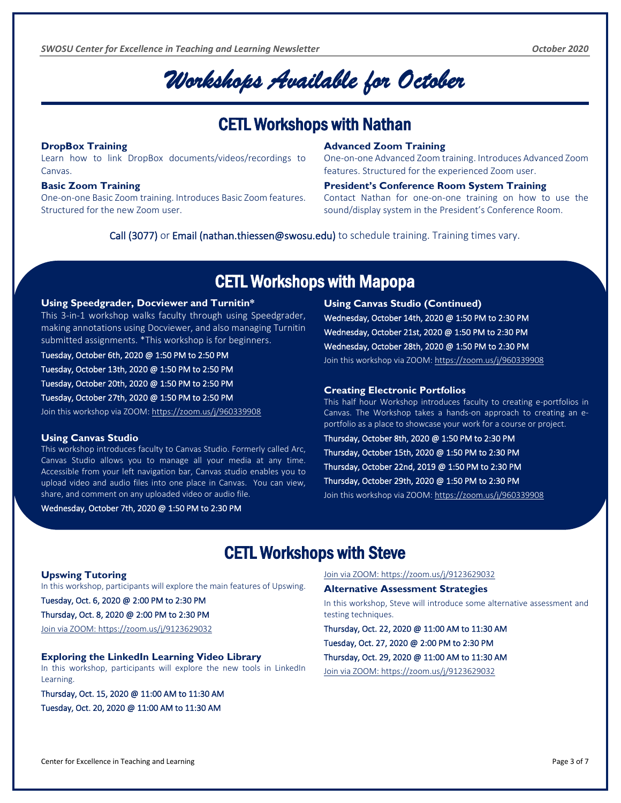# *Workshops Available for October*

### CETL Workshops with Nathan

#### <span id="page-3-0"></span>**DropBox Training**

Learn how to link DropBox documents/videos/recordings to Canvas.

#### **Basic Zoom Training**

One-on-one Basic Zoom training. Introduces Basic Zoom features. Structured for the new Zoom user.

#### **Advanced Zoom Training**

One-on-one Advanced Zoom training. Introduces Advanced Zoom features. Structured for the experienced Zoom user.

#### **President's Conference Room System Training**

Contact Nathan for one-on-one training on how to use the sound/display system in the President's Conference Room.

Call (3077) or Email (nathan.thiessen@swosu.edu) to schedule training. Training times vary.

### CETL Workshops with Mapopa

#### **Using Speedgrader, Docviewer and Turnitin\***

This 3-in-1 workshop walks faculty through using Speedgrader, making annotations using Docviewer, and also managing Turnitin submitted assignments. \*This workshop is for beginners.

#### Tuesday, October 6th, 2020 @ 1:50 PM to 2:50 PM

Tuesday, October 13th, 2020 @ 1:50 PM to 2:50 PM

Tuesday, October 20th, 2020 @ 1:50 PM to 2:50 PM

Tuesday, October 27th, 2020 @ 1:50 PM to 2:50 PM

Join this workshop via ZOOM[: https://zoom.us/j/960339908](https://zoom.us/j/960339908)

#### **Using Canvas Studio**

This workshop introduces faculty to Canvas Studio. Formerly called Arc, Canvas Studio allows you to manage all your media at any time. Accessible from your left navigation bar, Canvas studio enables you to upload video and audio files into one place in Canvas. You can view, share, and comment on any uploaded video or audio file.

Wednesday, October 7th, 2020 @ 1:50 PM to 2:30 PM

**Using Canvas Studio (Continued)** Wednesday, October 14th, 2020 @ 1:50 PM to 2:30 PM Wednesday, October 21st, 2020 @ 1:50 PM to 2:30 PM Wednesday, October 28th, 2020 @ 1:50 PM to 2:30 PM Join this workshop via ZOOM: https://zoom.us/j/960339908

#### **Creating Electronic Portfolios**

This half hour Workshop introduces faculty to creating e-portfolios in Canvas. The Workshop takes a hands-on approach to creating an eportfolio as a place to showcase your work for a course or project.

Thursday, October 8th, 2020 @ 1:50 PM to 2:30 PM Thursday, October 15th, 2020 @ 1:50 PM to 2:30 PM Thursday, October 22nd, 2019 @ 1:50 PM to 2:30 PM Thursday, October 29th, 2020 @ 1:50 PM to 2:30 PM

Join this workshop via ZOOM[: https://zoom.us/j/960339908](https://zoom.us/j/960339908)

### CETL Workshops with Steve

#### **Upswing Tutoring**

J

In this workshop, participants will explore the main features of Upswing.

Tuesday, Oct. 6, 2020 @ 2:00 PM to 2:30 PM

#### Thursday, Oct. 8, 2020 @ 2:00 PM to 2:30 PM

Join via ZOOM: https://zoom.us/j/9123629032

#### **Exploring the LinkedIn Learning Video Library**

In this workshop, participants will explore the new tools in LinkedIn Learning.

Thursday, Oct. 15, 2020 @ 11:00 AM to 11:30 AM Tuesday, Oct. 20, 2020 @ 11:00 AM to 11:30 AM

Join via ZOOM:<https://zoom.us/j/9123629032>

#### **Alternative Assessment Strategies**

In this workshop, Steve will introduce some alternative assessment and testing techniques.

Thursday, Oct. 22, 2020 @ 11:00 AM to 11:30 AM Tuesday, Oct. 27, 2020 @ 2:00 PM to 2:30 PM Thursday, Oct. 29, 2020 @ 11:00 AM to 11:30 AM Join via ZOOM:<https://zoom.us/j/9123629032>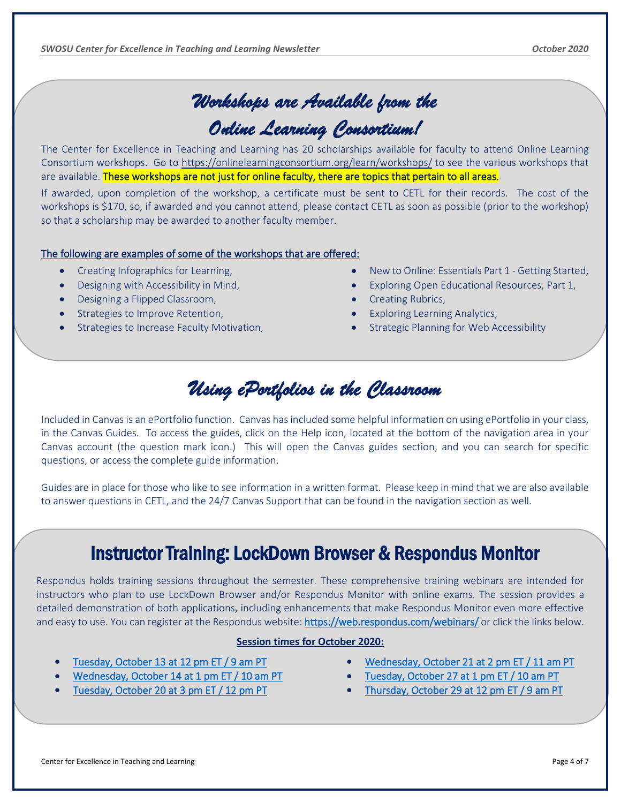# *Workshops are Available from the*

# *Online Learning Consortium!*

The Center for Excellence in Teaching and Learning has 20 scholarships available for faculty to attend Online Learning Consortium workshops. Go to <https://onlinelearningconsortium.org/learn/workshops/> to see the various workshops that are available. These workshops are not just for online faculty, there are topics that pertain to all areas.

If awarded, upon completion of the workshop, a certificate must be sent to CETL for their records. The cost of the workshops is \$170, so, if awarded and you cannot attend, please contact CETL as soon as possible (prior to the workshop) so that a scholarship may be awarded to another faculty member.

#### The following are examples of some of the workshops that are offered:

- Creating Infographics for Learning,
- Designing with Accessibility in Mind,
- Designing a Flipped Classroom,

<span id="page-4-0"></span>

- Strategies to Improve Retention,
- Strategies to Increase Faculty Motivation,
- New to Online: Essentials Part 1 Getting Started,
- Exploring Open Educational Resources, Part 1,
- Creating Rubrics,
- **Exploring Learning Analytics,**
- Strategic Planning for Web Accessibility

# *Using ePortfolios in the Classroom*

Included in Canvas is an ePortfolio function. Canvas has included some helpful information on using ePortfolio in your class, in the Canvas Guides. To access the guides, click on the Help icon, located at the bottom of the navigation area in your Canvas account (the question mark icon.) This will open the Canvas guides section, and you can search for specific questions, or access the complete guide information.

Guides are in place for those who like to see information in a written format. Please keep in mind that we are also available to answer questions in CETL, and the 24/7 Canvas Support that can be found in the navigation section as well.

# Instructor Training: LockDown Browser & Respondus Monitor

Respondus holds training sessions throughout the semester. These comprehensive training webinars are intended for instructors who plan to use LockDown Browser and/or Respondus Monitor with online exams. The session provides a detailed demonstration of both applications, including enhancements that make Respondus Monitor even more effective and easy to use. You can register at the Respondus website[: https://web.respondus.com/webinars/](https://web.respondus.com/webinars/) or click the links below.

#### **Session times for October 2020:**

- [Tuesday, October 13 at 12 pm ET / 9 am PT](https://attendee.gotowebinar.com/register/51803900366327567)
- [Wednesday, October 14 at 1 pm ET / 10 am PT](https://attendee.gotowebinar.com/register/2326196478913833228)
- [Tuesday, October 20 at 3 pm ET / 12 pm PT](https://attendee.gotowebinar.com/register/3450640632414098444)
- [Wednesday, October 21 at 2 pm ET / 11 am PT](https://attendee.gotowebinar.com/register/6764051907765669899)
- [Tuesday, October 27 at 1 pm ET / 10 am PT](https://attendee.gotowebinar.com/register/2275425429742244619)
- [Thursday, October 29 at 12 pm ET / 9 am PT](https://attendee.gotowebinar.com/register/8448643359808969228)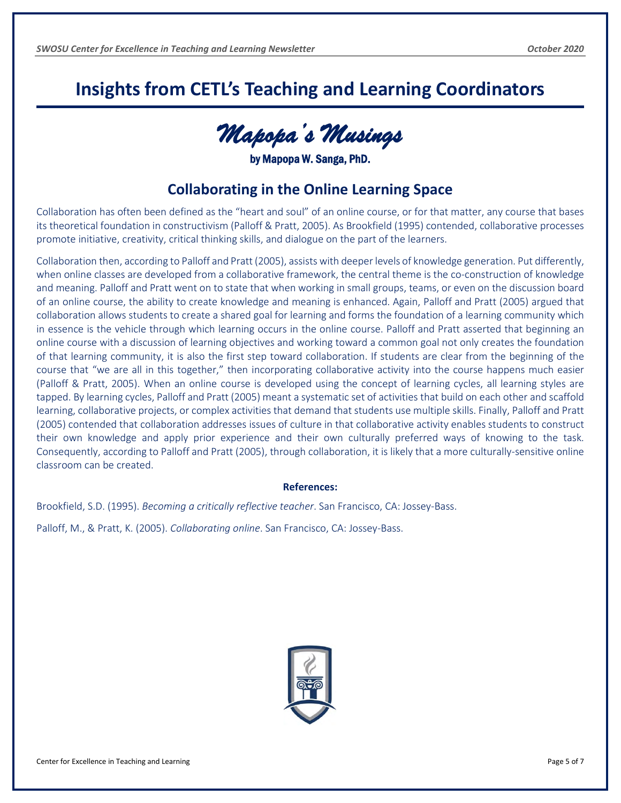# <span id="page-5-0"></span>**Insights from CETL's Teaching and Learning Coordinators**

*Mapopa's Musings* 

by Mapopa W. Sanga, PhD.

#### **Collaborating in the Online Learning Space**

Collaboration has often been defined as the "heart and soul" of an online course, or for that matter, any course that bases its theoretical foundation in constructivism (Palloff & Pratt, 2005). As Brookfield (1995) contended, collaborative processes promote initiative, creativity, critical thinking skills, and dialogue on the part of the learners.

Collaboration then, according to Palloff and Pratt (2005), assists with deeper levels of knowledge generation. Put differently, when online classes are developed from a collaborative framework, the central theme is the co-construction of knowledge and meaning. Palloff and Pratt went on to state that when working in small groups, teams, or even on the discussion board of an online course, the ability to create knowledge and meaning is enhanced. Again, Palloff and Pratt (2005) argued that collaboration allows students to create a shared goal for learning and forms the foundation of a learning community which in essence is the vehicle through which learning occurs in the online course. Palloff and Pratt asserted that beginning an online course with a discussion of learning objectives and working toward a common goal not only creates the foundation of that learning community, it is also the first step toward collaboration. If students are clear from the beginning of the course that "we are all in this together," then incorporating collaborative activity into the course happens much easier (Palloff & Pratt, 2005). When an online course is developed using the concept of learning cycles, all learning styles are tapped. By learning cycles, Palloff and Pratt (2005) meant a systematic set of activities that build on each other and scaffold learning, collaborative projects, or complex activities that demand that students use multiple skills. Finally, Palloff and Pratt (2005) contended that collaboration addresses issues of culture in that collaborative activity enables students to construct their own knowledge and apply prior experience and their own culturally preferred ways of knowing to the task. Consequently, according to Palloff and Pratt (2005), through collaboration, it is likely that a more culturally-sensitive online classroom can be created.

#### **References:**

Brookfield, S.D. (1995). *Becoming a critically reflective teacher*. San Francisco, CA: Jossey-Bass.

Palloff, M., & Pratt, K. (2005). *Collaborating online*. San Francisco, CA: Jossey-Bass.

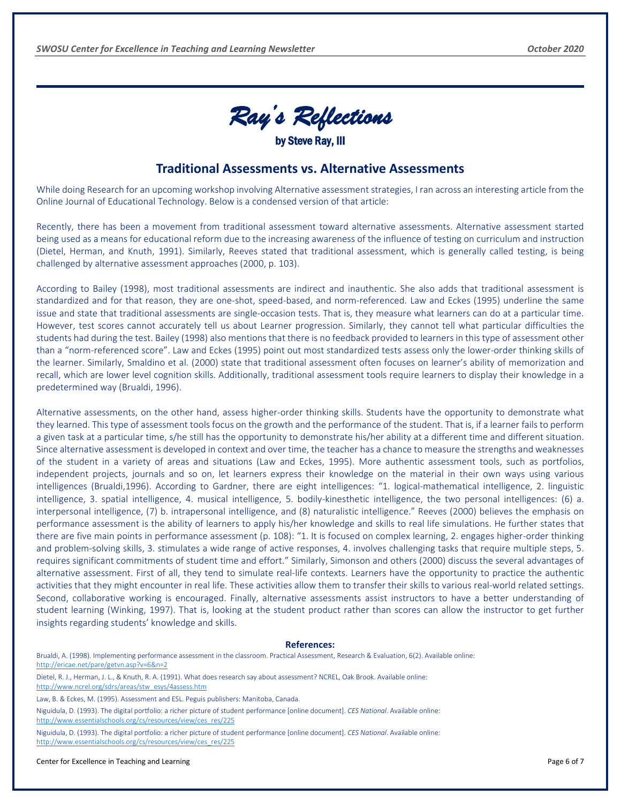

#### **Traditional Assessments vs. Alternative Assessments**

<span id="page-6-0"></span>While doing Research for an upcoming workshop involving Alternative assessment strategies, I ran across an interesting article from the Online Journal of Educational Technology. Below is a condensed version of that article:

Recently, there has been a movement from traditional assessment toward alternative assessments. Alternative assessment started being used as a means for educational reform due to the increasing awareness of the influence of testing on curriculum and instruction (Dietel, Herman, and Knuth, 1991). Similarly, Reeves stated that traditional assessment, which is generally called testing, is being challenged by alternative assessment approaches (2000, p. 103).

According to Bailey (1998), most traditional assessments are indirect and inauthentic. She also adds that traditional assessment is standardized and for that reason, they are one-shot, speed-based, and norm-referenced. Law and Eckes (1995) underline the same issue and state that traditional assessments are single-occasion tests. That is, they measure what learners can do at a particular time. However, test scores cannot accurately tell us about Learner progression. Similarly, they cannot tell what particular difficulties the students had during the test. Bailey (1998) also mentions that there is no feedback provided to learners in this type of assessment other than a "norm-referenced score". Law and Eckes (1995) point out most standardized tests assess only the lower-order thinking skills of the learner. Similarly, Smaldino et al. (2000) state that traditional assessment often focuses on learner's ability of memorization and recall, which are lower level cognition skills. Additionally, traditional assessment tools require learners to display their knowledge in a predetermined way (Brualdi, 1996).

Alternative assessments, on the other hand, assess higher-order thinking skills. Students have the opportunity to demonstrate what they learned. This type of assessment tools focus on the growth and the performance of the student. That is, if a learner fails to perform a given task at a particular time, s/he still has the opportunity to demonstrate his/her ability at a different time and different situation. Since alternative assessment is developed in context and over time, the teacher has a chance to measure the strengths and weaknesses of the student in a variety of areas and situations (Law and Eckes, 1995). More authentic assessment tools, such as portfolios, independent projects, journals and so on, let learners express their knowledge on the material in their own ways using various intelligences (Brualdi,1996). According to Gardner, there are eight intelligences: "1. logical-mathematical intelligence, 2. linguistic intelligence, 3. spatial intelligence, 4. musical intelligence, 5. bodily-kinesthetic intelligence, the two personal intelligences: (6) a. interpersonal intelligence, (7) b. intrapersonal intelligence, and (8) naturalistic intelligence." Reeves (2000) believes the emphasis on performance assessment is the ability of learners to apply his/her knowledge and skills to real life simulations. He further states that there are five main points in performance assessment (p. 108): "1. It is focused on complex learning, 2. engages higher-order thinking and problem-solving skills, 3. stimulates a wide range of active responses, 4. involves challenging tasks that require multiple steps, 5. requires significant commitments of student time and effort." Similarly, Simonson and others (2000) discuss the several advantages of alternative assessment. First of all, they tend to simulate real-life contexts. Learners have the opportunity to practice the authentic activities that they might encounter in real life. These activities allow them to transfer their skills to various real-world related settings. Second, collaborative working is encouraged. Finally, alternative assessments assist instructors to have a better understanding of student learning (Winking, 1997). That is, looking at the student product rather than scores can allow the instructor to get further insights regarding students' knowledge and skills.

#### **References:**

Brualdi, A. (1998). Implementing performance assessment in the classroom. Practical Assessment, Research & Evaluation, 6(2). Available online: <http://ericae.net/pare/getvn.asp?v=6&n=2>

Dietel, R. J., Herman, J. L., & Knuth, R. A. (1991). What does research say about assessment? NCREL, Oak Brook. Available online: [http://www.ncrel.org/sdrs/areas/stw\\_esys/4assess.htm](http://www.ncrel.org/sdrs/areas/stw_esys/4assess.htm)

Law, B. & Eckes, M. (1995). Assessment and ESL. Peguis publishers: Manitoba, Canada.

Niguidula, D. (1993). The digital portfolio: a richer picture of student performance [online document]. *CES National*. Available online: [http://www.essentialschools.org/cs/resources/view/ces\\_res/225](http://www.essentialschools.org/cs/resources/view/ces_res/225)

Niguidula, D. (1993). The digital portfolio: a richer picture of student performance [online document]. *CES National*. Available online: [http://www.essentialschools.org/cs/resources/view/ces\\_res/225](http://www.essentialschools.org/cs/resources/view/ces_res/225)